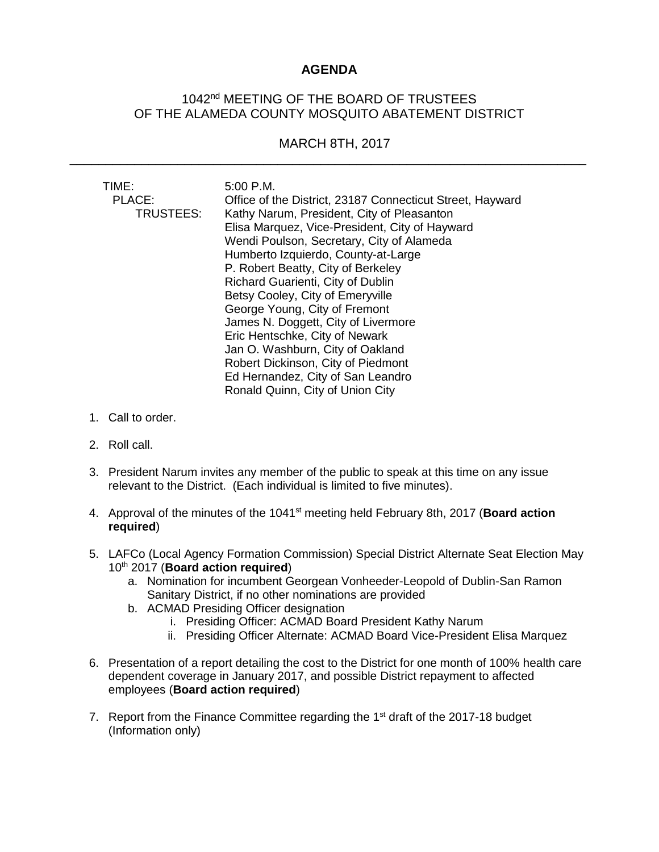## **AGENDA**

## 1042<sup>nd</sup> MEETING OF THE BOARD OF TRUSTEES OF THE ALAMEDA COUNTY MOSQUITO ABATEMENT DISTRICT

## MARCH 8TH, 2017

\_\_\_\_\_\_\_\_\_\_\_\_\_\_\_\_\_\_\_\_\_\_\_\_\_\_\_\_\_\_\_\_\_\_\_\_\_\_\_\_\_\_\_\_\_\_\_\_\_\_\_\_\_\_\_\_\_\_\_\_\_\_\_\_\_\_\_\_\_\_\_\_

| TIME:<br>PLACE:<br>TRUSTEES: | 5:00 P.M.<br>Office of the District, 23187 Connecticut Street, Hayward<br>Kathy Narum, President, City of Pleasanton<br>Elisa Marquez, Vice-President, City of Hayward<br>Wendi Poulson, Secretary, City of Alameda<br>Humberto Izquierdo, County-at-Large<br>P. Robert Beatty, City of Berkeley |
|------------------------------|--------------------------------------------------------------------------------------------------------------------------------------------------------------------------------------------------------------------------------------------------------------------------------------------------|
|                              | Richard Guarienti, City of Dublin                                                                                                                                                                                                                                                                |
|                              | Betsy Cooley, City of Emeryville                                                                                                                                                                                                                                                                 |
|                              | George Young, City of Fremont                                                                                                                                                                                                                                                                    |
|                              | James N. Doggett, City of Livermore                                                                                                                                                                                                                                                              |
|                              | Eric Hentschke, City of Newark                                                                                                                                                                                                                                                                   |
|                              | Jan O. Washburn, City of Oakland                                                                                                                                                                                                                                                                 |
|                              | Robert Dickinson, City of Piedmont                                                                                                                                                                                                                                                               |
|                              | Ed Hernandez, City of San Leandro                                                                                                                                                                                                                                                                |
|                              | Ronald Quinn, City of Union City                                                                                                                                                                                                                                                                 |

- 1. Call to order.
- 2. Roll call.
- 3. President Narum invites any member of the public to speak at this time on any issue relevant to the District. (Each individual is limited to five minutes).
- 4. Approval of the minutes of the 1041<sup>st</sup> meeting held February 8th, 2017 (**Board action required**)
- 5. LAFCo (Local Agency Formation Commission) Special District Alternate Seat Election May 10th 2017 (**Board action required**)
	- a. Nomination for incumbent Georgean Vonheeder-Leopold of Dublin-San Ramon Sanitary District, if no other nominations are provided
	- b. ACMAD Presiding Officer designation
		- i. Presiding Officer: ACMAD Board President Kathy Narum
		- ii. Presiding Officer Alternate: ACMAD Board Vice-President Elisa Marquez
- 6. Presentation of a report detailing the cost to the District for one month of 100% health care dependent coverage in January 2017, and possible District repayment to affected employees (**Board action required**)
- 7. Report from the Finance Committee regarding the  $1<sup>st</sup>$  draft of the 2017-18 budget (Information only)